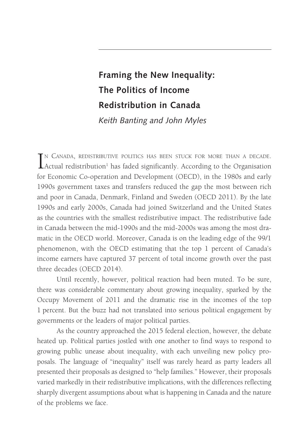# **Framing the New Inequality: The Politics of Income Redistribution in Canada** *Keith Banting and John Myles*

IN CANADA, REDISTRIBUTIVE POLITICS HAS BEEN STUCK FOR MORE THAN A DECADE.<br>Actual redistribution<sup>1</sup> has faded significantly. According to the Organisation n Canada, redistributive politics has been stuck for more than a decade. for Economic Co-operation and Development (OECD), in the 1980s and early 1990s government taxes and transfers reduced the gap the most between rich and poor in Canada, Denmark, Finland and Sweden (OECD 2011). By the late 1990s and early 2000s, Canada had joined Switzerland and the United States as the countries with the smallest redistributive impact. The redistributive fade in Canada between the mid-1990s and the mid-2000s was among the most dramatic in the OECD world. Moreover, Canada is on the leading edge of the 99/1 phenomenon, with the OECD estimating that the top 1 percent of Canada's income earners have captured 37 percent of total income growth over the past three decades (OECD 2014).

Until recently, however, political reaction had been muted. To be sure, there was considerable commentary about growing inequality, sparked by the Occupy Movement of 2011 and the dramatic rise in the incomes of the top 1 percent. But the buzz had not translated into serious political engagement by governments or the leaders of major political parties.

As the country approached the 2015 federal election, however, the debate heated up. Political parties jostled with one another to find ways to respond to growing public unease about inequality, with each unveiling new policy proposals. The language of "inequality" itself was rarely heard as party leaders all presented their proposals as designed to "help families." However, their proposals varied markedly in their redistributive implications, with the differences reflecting sharply divergent assumptions about what is happening in Canada and the nature of the problems we face.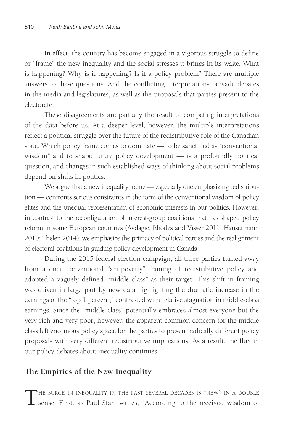In effect, the country has become engaged in a vigorous struggle to define or "frame" the new inequality and the social stresses it brings in its wake. What is happening? Why is it happening? Is it a policy problem? There are multiple answers to these questions. And the conflicting interpretations pervade debates in the media and legislatures, as well as the proposals that parties present to the electorate.

These disagreements are partially the result of competing interpretations of the data before us. At a deeper level, however, the multiple interpretations reflect a political struggle over the future of the redistributive role of the Canadian state. Which policy frame comes to dominate — to be sanctified as "conventional wisdom" and to shape future policy development — is a profoundly political question, and changes in such established ways of thinking about social problems depend on shifts in politics.

We argue that a new inequality frame — especially one emphasizing redistribution — confronts serious constraints in the form of the conventional wisdom of policy elites and the unequal representation of economic interests in our politics. However, in contrast to the reconfiguration of interest-group coalitions that has shaped policy reform in some European countries (Avdagic, Rhodes and Visser 2011; Häusermann 2010; Thelen 2014), we emphasize the primacy of political parties and the realignment of electoral coalitions in guiding policy development in Canada.

During the 2015 federal election campaign, all three parties turned away from a once conventional "antipoverty" framing of redistributive policy and adopted a vaguely defined "middle class" as their target. This shift in framing was driven in large part by new data highlighting the dramatic increase in the earnings of the "top 1 percent," contrasted with relative stagnation in middle-class earnings. Since the "middle class" potentially embraces almost everyone but the very rich and very poor, however, the apparent common concern for the middle class left enormous policy space for the parties to present radically different policy proposals with very different redistributive implications. As a result, the flux in our policy debates about inequality continues.

# **The Empirics of the New Inequality**

The surge in inequality in the past several decades is "new" in <sup>a</sup> double sense. First, as Paul Starr writes, "According to the received wisdom of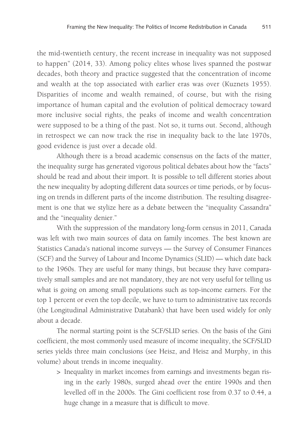the mid-twentieth century, the recent increase in inequality was not supposed to happen" (2014, 33). Among policy elites whose lives spanned the postwar decades, both theory and practice suggested that the concentration of income and wealth at the top associated with earlier eras was over (Kuznets 1955). Disparities of income and wealth remained, of course, but with the rising importance of human capital and the evolution of political democracy toward more inclusive social rights, the peaks of income and wealth concentration were supposed to be a thing of the past. Not so, it turns out. Second, although in retrospect we can now track the rise in inequality back to the late 1970s, good evidence is just over a decade old.

Although there is a broad academic consensus on the facts of the matter, the inequality surge has generated vigorous political debates about how the "facts" should be read and about their import. It is possible to tell different stories about the new inequality by adopting different data sources or time periods, or by focusing on trends in different parts of the income distribution. The resulting disagreement is one that we stylize here as a debate between the "inequality Cassandra" and the "inequality denier."

With the suppression of the mandatory long-form census in 2011, Canada was left with two main sources of data on family incomes. The best known are Statistics Canada's national income surveys — the Survey of Consumer Finances (SCF) and the Survey of Labour and Income Dynamics (SLID) — which date back to the 1960s. They are useful for many things, but because they have comparatively small samples and are not mandatory, they are not very useful for telling us what is going on among small populations such as top-income earners. For the top 1 percent or even the top decile, we have to turn to administrative tax records (the Longitudinal Administrative Databank) that have been used widely for only about a decade.

The normal starting point is the SCF/SLID series. On the basis of the Gini coefficient, the most commonly used measure of income inequality, the SCF/SLID series yields three main conclusions (see Heisz, and Heisz and Murphy, in this volume) about trends in income inequality.

> Inequality in market incomes from earnings and investments began rising in the early 1980s, surged ahead over the entire 1990s and then levelled off in the 2000s. The Gini coefficient rose from 0.37 to 0.44, a huge change in a measure that is difficult to move.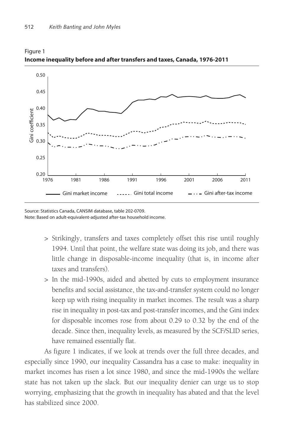

Figure 1 **Income inequality before and after transfers and taxes, Canada, 1976-2011**

Source: Statistics Canada, CANSIM database, table 202-0709. Note: Based on adult-equivalent-adjusted after-tax household income.

- > Strikingly, transfers and taxes completely offset this rise until roughly 1994. Until that point, the welfare state was doing its job, and there was little change in disposable-income inequality (that is, in income after taxes and transfers).
- > In the mid-1990s, aided and abetted by cuts to employment insurance benefits and social assistance, the tax-and-transfer system could no longer keep up with rising inequality in market incomes. The result was a sharp rise in inequality in post-tax and post-transfer incomes, and the Gini index for disposable incomes rose from about 0.29 to 0.32 by the end of the decade. Since then, inequality levels, as measured by the SCF/SLID series, have remained essentially flat.

As figure 1 indicates, if we look at trends over the full three decades, and especially since 1990, our inequality Cassandra has a case to make: inequality in market incomes has risen a lot since 1980, and since the mid-1990s the welfare state has not taken up the slack. But our inequality denier can urge us to stop worrying, emphasizing that the growth in inequality has abated and that the level has stabilized since 2000.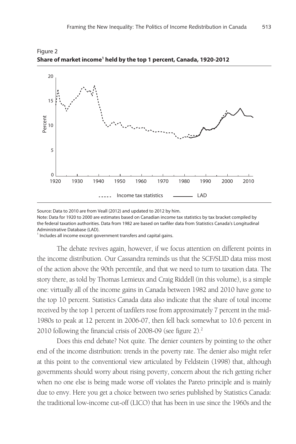

Figure 2 **Share of market income1 held by the top 1 percent, Canada, 1920-2012**

Source: Data to 2010 are from Veall (2012) and updated to 2012 by him.

Note: Data for 1920 to 2000 are estimates based on Canadian income tax statistics by tax bracket compiled by the federal taxation authorities. Data from 1982 are based on taxfiler data from Statistics Canada's Longitudinal Administrative Database (LAD).

<sup>1</sup> Includes all income except government transfers and capital gains.

The debate revives again, however, if we focus attention on different points in the income distribution. Our Cassandra reminds us that the SCF/SLID data miss most of the action above the 90th percentile, and that we need to turn to taxation data. The story there, as told by Thomas Lemieux and Craig Riddell (in this volume), is a simple one: virtually all of the income gains in Canada between 1982 and 2010 have gone to the top 10 percent. Statistics Canada data also indicate that the share of total income received by the top 1 percent of taxfilers rose from approximately 7 percent in the mid-1980s to peak at 12 percent in 2006-07, then fell back somewhat to 10.6 percent in 2010 following the financial crisis of 2008-09 (see figure 2).2

Does this end debate? Not quite. The denier counters by pointing to the other end of the income distribution: trends in the poverty rate. The denier also might refer at this point to the conventional view articulated by Feldstein (1998) that, although governments should worry about rising poverty, concern about the rich getting richer when no one else is being made worse off violates the Pareto principle and is mainly due to envy. Here you get a choice between two series published by Statistics Canada: the traditional low-income cut-off (LICO) that has been in use since the 1960s and the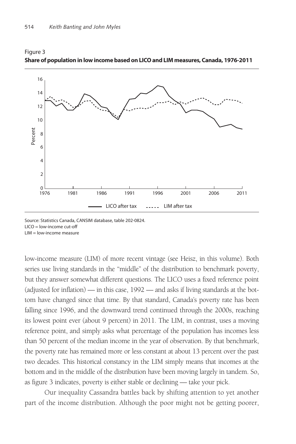

### Figure 3 **Share of population in low income based on LICO and LIM measures, Canada, 1976-2011**

Source: Statistics Canada, CANSIM database, table 202-0824. LICO = low-income cut-off LIM = low-income measure

low-income measure (LIM) of more recent vintage (see Heisz, in this volume). Both series use living standards in the "middle" of the distribution to benchmark poverty, but they answer somewhat different questions. The LICO uses a fixed reference point (adjusted for inflation) — in this case, 1992 — and asks if living standards at the bottom have changed since that time. By that standard, Canada's poverty rate has been falling since 1996, and the downward trend continued through the 2000s, reaching its lowest point ever (about 9 percent) in 2011. The LIM, in contrast, uses a moving reference point, and simply asks what percentage of the population has incomes less than 50 percent of the median income in the year of observation. By that benchmark, the poverty rate has remained more or less constant at about 13 percent over the past two decades. This historical constancy in the LIM simply means that incomes at the bottom and in the middle of the distribution have been moving largely in tandem. So, as figure 3 indicates, poverty is either stable or declining — take your pick.

Our inequality Cassandra battles back by shifting attention to yet another part of the income distribution. Although the poor might not be getting poorer,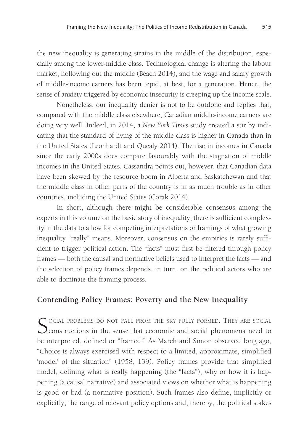the new inequality is generating strains in the middle of the distribution, especially among the lower-middle class. Technological change is altering the labour market, hollowing out the middle (Beach 2014), and the wage and salary growth of middle-income earners has been tepid, at best, for a generation. Hence, the sense of anxiety triggered by economic insecurity is creeping up the income scale.

Nonetheless, our inequality denier is not to be outdone and replies that, compared with the middle class elsewhere, Canadian middle-income earners are doing very well. Indeed, in 2014, a *New York Times* study created a stir by indicating that the standard of living of the middle class is higher in Canada than in the United States (Leonhardt and Quealy 2014). The rise in incomes in Canada since the early 2000s does compare favourably with the stagnation of middle incomes in the United States. Cassandra points out, however, that Canadian data have been skewed by the resource boom in Alberta and Saskatchewan and that the middle class in other parts of the country is in as much trouble as in other countries, including the United States (Corak 2014).

In short, although there might be considerable consensus among the experts in this volume on the basic story of inequality, there is sufficient complexity in the data to allow for competing interpretations or framings of what growing inequality "really" means. Moreover, consensus on the empirics is rarely sufficient to trigger political action. The "facts" must first be filtered through policy frames — both the causal and normative beliefs used to interpret the facts — and the selection of policy frames depends, in turn, on the political actors who are able to dominate the framing process.

# **Contending Policy Frames: Poverty and the New Inequality**

SOCIAL PROBLEMS DO NOT FALL FROM THE SKY FULLY FORMED. THEY ARE SOCIAL constructions in the sense that economic and social phenomena need to be interpreted, defined or "framed." As March and Simon observed long ago, "Choice is always exercised with respect to a limited, approximate, simplified 'model' of the situation" (1958, 139). Policy frames provide that simplified model, defining what is really happening (the "facts"), why or how it is happening (a causal narrative) and associated views on whether what is happening is good or bad (a normative position). Such frames also define, implicitly or explicitly, the range of relevant policy options and, thereby, the political stakes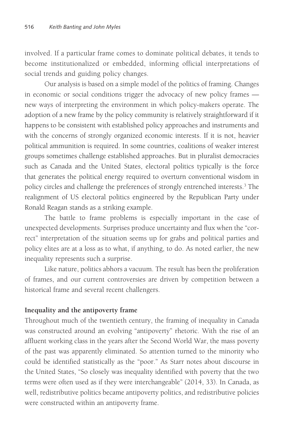involved. If a particular frame comes to dominate political debates, it tends to become institutionalized or embedded, informing official interpretations of social trends and guiding policy changes.

Our analysis is based on a simple model of the politics of framing. Changes in economic or social conditions trigger the advocacy of new policy frames new ways of interpreting the environment in which policy-makers operate. The adoption of a new frame by the policy community is relatively straightforward if it happens to be consistent with established policy approaches and instruments and with the concerns of strongly organized economic interests. If it is not, heavier political ammunition is required. In some countries, coalitions of weaker interest groups sometimes challenge established approaches. But in pluralist democracies such as Canada and the United States, electoral politics typically is the force that generates the political energy required to overturn conventional wisdom in policy circles and challenge the preferences of strongly entrenched interests.<sup>3</sup> The realignment of US electoral politics engineered by the Republican Party under Ronald Reagan stands as a striking example.

The battle to frame problems is especially important in the case of unexpected developments. Surprises produce uncertainty and flux when the "correct" interpretation of the situation seems up for grabs and political parties and policy elites are at a loss as to what, if anything, to do. As noted earlier, the new inequality represents such a surprise.

Like nature, politics abhors a vacuum. The result has been the proliferation of frames, and our current controversies are driven by competition between a historical frame and several recent challengers.

# **Inequality and the antipoverty frame**

Throughout much of the twentieth century, the framing of inequality in Canada was constructed around an evolving "antipoverty" rhetoric. With the rise of an affluent working class in the years after the Second World War, the mass poverty of the past was apparently eliminated. So attention turned to the minority who could be identified statistically as the "poor." As Starr notes about discourse in the United States, "So closely was inequality identified with poverty that the two terms were often used as if they were interchangeable" (2014, 33). In Canada, as well, redistributive politics became antipoverty politics, and redistributive policies were constructed within an antipoverty frame.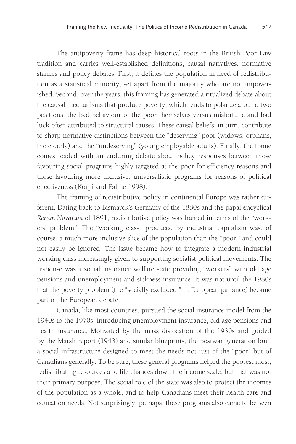The antipoverty frame has deep historical roots in the British Poor Law tradition and carries well-established definitions, causal narratives, normative stances and policy debates. First, it defines the population in need of redistribution as a statistical minority, set apart from the majority who are not impoverished. Second, over the years, this framing has generated a ritualized debate about the causal mechanisms that produce poverty, which tends to polarize around two positions: the bad behaviour of the poor themselves versus misfortune and bad luck often attributed to structural causes. These causal beliefs, in turn, contribute to sharp normative distinctions between the "deserving" poor (widows, orphans, the elderly) and the "undeserving" (young employable adults). Finally, the frame comes loaded with an enduring debate about policy responses between those favouring social programs highly targeted at the poor for efficiency reasons and those favouring more inclusive, universalistic programs for reasons of political effectiveness (Korpi and Palme 1998).

The framing of redistributive policy in continental Europe was rather different. Dating back to Bismarck's Germany of the 1880s and the papal encyclical *Rerum Novarum* of 1891, redistributive policy was framed in terms of the "workers' problem." The "working class" produced by industrial capitalism was, of course, a much more inclusive slice of the population than the "poor," and could not easily be ignored. The issue became how to integrate a modern industrial working class increasingly given to supporting socialist political movements. The response was a social insurance welfare state providing "workers" with old age pensions and unemployment and sickness insurance. It was not until the 1980s that the poverty problem (the "socially excluded," in European parlance) became part of the European debate.

Canada, like most countries, pursued the social insurance model from the 1940s to the 1970s, introducing unemployment insurance, old age pensions and health insurance. Motivated by the mass dislocation of the 1930s and guided by the Marsh report (1943) and similar blueprints, the postwar generation built a social infrastructure designed to meet the needs not just of the "poor" but of Canadians generally. To be sure, these general programs helped the poorest most, redistributing resources and life chances down the income scale, but that was not their primary purpose. The social role of the state was also to protect the incomes of the population as a whole, and to help Canadians meet their health care and education needs. Not surprisingly, perhaps, these programs also came to be seen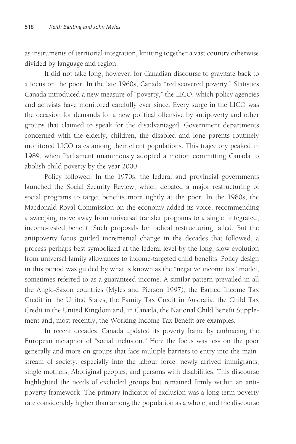as instruments of territorial integration, knitting together a vast country otherwise divided by language and region.

It did not take long, however, for Canadian discourse to gravitate back to a focus on the poor. In the late 1960s, Canada "rediscovered poverty." Statistics Canada introduced a new measure of "poverty," the LICO, which policy agencies and activists have monitored carefully ever since. Every surge in the LICO was the occasion for demands for a new political offensive by antipoverty and other groups that claimed to speak for the disadvantaged. Government departments concerned with the elderly, children, the disabled and lone parents routinely monitored LICO rates among their client populations. This trajectory peaked in 1989, when Parliament unanimously adopted a motion committing Canada to abolish child poverty by the year 2000.

Policy followed. In the 1970s, the federal and provincial governments launched the Social Security Review, which debated a major restructuring of social programs to target benefits more tightly at the poor. In the 1980s, the Macdonald Royal Commission on the economy added its voice, recommending a sweeping move away from universal transfer programs to a single, integrated, income-tested benefit. Such proposals for radical restructuring failed. But the antipoverty focus guided incremental change in the decades that followed, a process perhaps best symbolized at the federal level by the long, slow evolution from universal family allowances to income-targeted child benefits. Policy design in this period was guided by what is known as the "negative income tax" model, sometimes referred to as a guaranteed income. A similar pattern prevailed in all the Anglo-Saxon countries (Myles and Pierson 1997); the Earned Income Tax Credit in the United States, the Family Tax Credit in Australia, the Child Tax Credit in the United Kingdom and, in Canada, the National Child Benefit Supplement and, most recently, the Working Income Tax Benefit are examples.

In recent decades, Canada updated its poverty frame by embracing the European metaphor of "social inclusion." Here the focus was less on the poor generally and more on groups that face multiple barriers to entry into the mainstream of society, especially into the labour force: newly arrived immigrants, single mothers, Aboriginal peoples, and persons with disabilities. This discourse highlighted the needs of excluded groups but remained firmly within an antipoverty framework. The primary indicator of exclusion was a long-term poverty rate considerably higher than among the population as a whole, and the discourse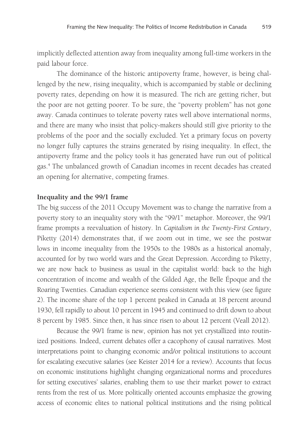implicitly deflected attention away from inequality among full-time workers in the paid labour force.

The dominance of the historic antipoverty frame, however, is being challenged by the new, rising inequality, which is accompanied by stable or declining poverty rates, depending on how it is measured. The rich are getting richer, but the poor are not getting poorer. To be sure, the "poverty problem" has not gone away. Canada continues to tolerate poverty rates well above international norms, and there are many who insist that policy-makers should still give priority to the problems of the poor and the socially excluded. Yet a primary focus on poverty no longer fully captures the strains generated by rising inequality. In effect, the antipoverty frame and the policy tools it has generated have run out of political gas.4 The unbalanced growth of Canadian incomes in recent decades has created an opening for alternative, competing frames.

#### **Inequality and the 99/1 frame**

The big success of the 2011 Occupy Movement was to change the narrative from a poverty story to an inequality story with the "99/1" metaphor. Moreover, the 99/1 frame prompts a reevaluation of history. In *Capitalism in the Twenty-First Century*, Piketty (2014) demonstrates that, if we zoom out in time, we see the postwar lows in income inequality from the 1950s to the 1980s as a historical anomaly, accounted for by two world wars and the Great Depression. According to Piketty, we are now back to business as usual in the capitalist world: back to the high concentration of income and wealth of the Gilded Age, the Belle Époque and the Roaring Twenties. Canadian experience seems consistent with this view (see figure 2). The income share of the top 1 percent peaked in Canada at 18 percent around 1930, fell rapidly to about 10 percent in 1945 and continued to drift down to about 8 percent by 1985. Since then, it has since risen to about 12 percent (Veall 2012).

Because the 99/1 frame is new, opinion has not yet crystallized into routinized positions. Indeed, current debates offer a cacophony of causal narratives. Most interpretations point to changing economic and/or political institutions to account for escalating executive salaries (see Keister 2014 for a review). Accounts that focus on economic institutions highlight changing organizational norms and procedures for setting executives' salaries, enabling them to use their market power to extract rents from the rest of us. More politically oriented accounts emphasize the growing access of economic elites to national political institutions and the rising political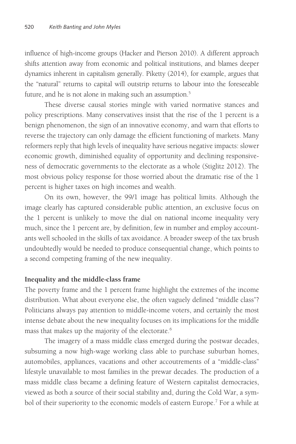influence of high-income groups (Hacker and Pierson 2010). A different approach shifts attention away from economic and political institutions, and blames deeper dynamics inherent in capitalism generally. Piketty (2014), for example, argues that the "natural" returns to capital will outstrip returns to labour into the foreseeable future, and he is not alone in making such an assumption.<sup>5</sup>

These diverse causal stories mingle with varied normative stances and policy prescriptions. Many conservatives insist that the rise of the 1 percent is a benign phenomenon, the sign of an innovative economy, and warn that efforts to reverse the trajectory can only damage the efficient functioning of markets. Many reformers reply that high levels of inequality have serious negative impacts: slower economic growth, diminished equality of opportunity and declining responsiveness of democratic governments to the electorate as a whole (Stiglitz 2012). The most obvious policy response for those worried about the dramatic rise of the 1 percent is higher taxes on high incomes and wealth.

On its own, however, the 99/1 image has political limits. Although the image clearly has captured considerable public attention, an exclusive focus on the 1 percent is unlikely to move the dial on national income inequality very much, since the 1 percent are, by definition, few in number and employ accountants well schooled in the skills of tax avoidance. A broader sweep of the tax brush undoubtedly would be needed to produce consequential change, which points to a second competing framing of the new inequality.

# **Inequality and the middle-class frame**

The poverty frame and the 1 percent frame highlight the extremes of the income distribution. What about everyone else, the often vaguely defined "middle class"? Politicians always pay attention to middle-income voters, and certainly the most intense debate about the new inequality focuses on its implications for the middle mass that makes up the majority of the electorate.<sup>6</sup>

The imagery of a mass middle class emerged during the postwar decades, subsuming a now high-wage working class able to purchase suburban homes, automobiles, appliances, vacations and other accoutrements of a "middle-class" lifestyle unavailable to most families in the prewar decades. The production of a mass middle class became a defining feature of Western capitalist democracies, viewed as both a source of their social stability and, during the Cold War, a symbol of their superiority to the economic models of eastern Europe.<sup>7</sup> For a while at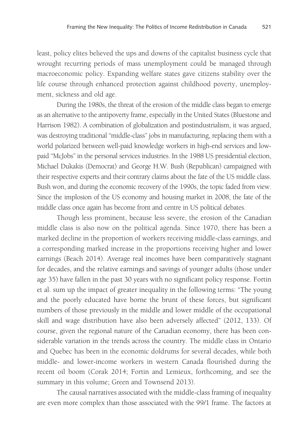least, policy elites believed the ups and downs of the capitalist business cycle that wrought recurring periods of mass unemployment could be managed through macroeconomic policy. Expanding welfare states gave citizens stability over the life course through enhanced protection against childhood poverty, unemployment, sickness and old age.

During the 1980s, the threat of the erosion of the middle class began to emerge as an alternative to the antipoverty frame, especially in the United States (Bluestone and Harrison 1982). A combination of globalization and postindustrialism, it was argued, was destroying traditional "middle-class" jobs in manufacturing, replacing them with a world polarized between well-paid knowledge workers in high-end services and lowpaid "McJobs" in the personal services industries. In the 1988 US presidential election, Michael Dukakis (Democrat) and George H.W. Bush (Republican) campaigned with their respective experts and their contrary claims about the fate of the US middle class. Bush won, and during the economic recovery of the 1990s, the topic faded from view. Since the implosion of the US economy and housing market in 2008, the fate of the middle class once again has become front and centre in US political debates.

Though less prominent, because less severe, the erosion of the Canadian middle class is also now on the political agenda. Since 1970, there has been a marked decline in the proportion of workers receiving middle-class earnings, and a corresponding marked increase in the proportions receiving higher and lower earnings (Beach 2014). Average real incomes have been comparatively stagnant for decades, and the relative earnings and savings of younger adults (those under age 35) have fallen in the past 30 years with no significant policy response. Fortin et al. sum up the impact of greater inequality in the following terms: "The young and the poorly educated have borne the brunt of these forces, but significant numbers of those previously in the middle and lower middle of the occupational skill and wage distribution have also been adversely affected" (2012, 133). Of course, given the regional nature of the Canadian economy, there has been considerable variation in the trends across the country. The middle class in Ontario and Quebec has been in the economic doldrums for several decades, while both middle- and lower-income workers in western Canada flourished during the recent oil boom (Corak 2014; Fortin and Lemieux, forthcoming, and see the summary in this volume; Green and Townsend 2013).

The causal narratives associated with the middle-class framing of inequality are even more complex than those associated with the 99/1 frame. The factors at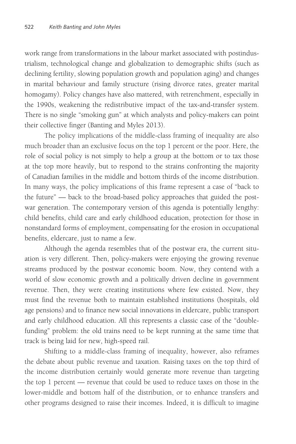work range from transformations in the labour market associated with postindustrialism, technological change and globalization to demographic shifts (such as declining fertility, slowing population growth and population aging) and changes in marital behaviour and family structure (rising divorce rates, greater marital homogamy). Policy changes have also mattered, with retrenchment, especially in the 1990s, weakening the redistributive impact of the tax-and-transfer system. There is no single "smoking gun" at which analysts and policy-makers can point their collective finger (Banting and Myles 2013).

The policy implications of the middle-class framing of inequality are also much broader than an exclusive focus on the top 1 percent or the poor. Here, the role of social policy is not simply to help a group at the bottom or to tax those at the top more heavily, but to respond to the strains confronting the majority of Canadian families in the middle and bottom thirds of the income distribution. In many ways, the policy implications of this frame represent a case of "back to the future" — back to the broad-based policy approaches that guided the postwar generation. The contemporary version of this agenda is potentially lengthy: child benefits, child care and early childhood education, protection for those in nonstandard forms of employment, compensating for the erosion in occupational benefits, eldercare, just to name a few.

Although the agenda resembles that of the postwar era, the current situation is very different. Then, policy-makers were enjoying the growing revenue streams produced by the postwar economic boom. Now, they contend with a world of slow economic growth and a politically driven decline in government revenue. Then, they were creating institutions where few existed. Now, they must find the revenue both to maintain established institutions (hospitals, old age pensions) and to finance new social innovations in eldercare, public transport and early childhood education. All this represents a classic case of the "doublefunding" problem: the old trains need to be kept running at the same time that track is being laid for new, high-speed rail.

Shifting to a middle-class framing of inequality, however, also reframes the debate about public revenue and taxation. Raising taxes on the top third of the income distribution certainly would generate more revenue than targeting the top 1 percent — revenue that could be used to reduce taxes on those in the lower-middle and bottom half of the distribution, or to enhance transfers and other programs designed to raise their incomes. Indeed, it is difficult to imagine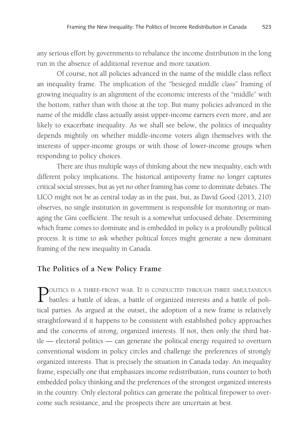any serious effort by governments to rebalance the income distribution in the long run in the absence of additional revenue and more taxation.

Of course, not all policies advanced in the name of the middle class reflect an inequality frame. The implication of the "besieged middle class" framing of growing inequality is an alignment of the economic interests of the "middle" with the bottom, rather than with those at the top. But many policies advanced in the name of the middle class actually assist upper-income earners even more, and are likely to exacerbate inequality. As we shall see below, the politics of inequality depends mightily on whether middle-income voters align themselves with the interests of upper-income groups or with those of lower-income groups when responding to policy choices.

There are thus multiple ways of thinking about the new inequality, each with different policy implications. The historical antipoverty frame no longer captures critical social stresses, but as yet no other framing has come to dominate debates. The LICO might not be as central today as in the past, but, as David Good (2013, 210) observes, no single institution in government is responsible for monitoring or managing the Gini coefficient. The result is a somewhat unfocused debate. Determining which frame comes to dominate and is embedded in policy is a profoundly political process. It is time to ask whether political forces might generate a new dominant framing of the new inequality in Canada.

# **The Politics of a New Policy Frame**

POLITICS IS A THREE-FRONT WAR. IT IS CONDUCTED THROUGH THREE SIMULTANEOUS battles: a battle of ideas, a battle of organized interests and a battle of political parties. As argued at the outset, the adoption of a new frame is relatively straightforward if it happens to be consistent with established policy approaches and the concerns of strong, organized interests. If not, then only the third battle — electoral politics — can generate the political energy required to overturn conventional wisdom in policy circles and challenge the preferences of strongly organized interests. That is precisely the situation in Canada today. An inequality frame, especially one that emphasizes income redistribution, runs counter to both embedded policy thinking and the preferences of the strongest organized interests in the country. Only electoral politics can generate the political firepower to overcome such resistance, and the prospects there are uncertain at best.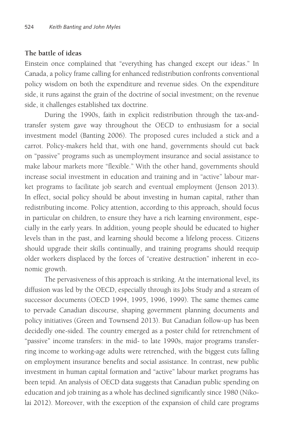#### **The battle of ideas**

Einstein once complained that "everything has changed except our ideas." In Canada, a policy frame calling for enhanced redistribution confronts conventional policy wisdom on both the expenditure and revenue sides. On the expenditure side, it runs against the grain of the doctrine of social investment; on the revenue side, it challenges established tax doctrine.

During the 1990s, faith in explicit redistribution through the tax-andtransfer system gave way throughout the OECD to enthusiasm for a social investment model (Banting 2006). The proposed cures included a stick and a carrot. Policy-makers held that, with one hand, governments should cut back on "passive" programs such as unemployment insurance and social assistance to make labour markets more "flexible." With the other hand, governments should increase social investment in education and training and in "active" labour market programs to facilitate job search and eventual employment (Jenson 2013). In effect, social policy should be about investing in human capital, rather than redistributing income. Policy attention, according to this approach, should focus in particular on children, to ensure they have a rich learning environment, especially in the early years. In addition, young people should be educated to higher levels than in the past, and learning should become a lifelong process. Citizens should upgrade their skills continually, and training programs should reequip older workers displaced by the forces of "creative destruction" inherent in economic growth.

The pervasiveness of this approach is striking. At the international level, its diffusion was led by the OECD, especially through its Jobs Study and a stream of successor documents (OECD 1994, 1995, 1996, 1999). The same themes came to pervade Canadian discourse, shaping government planning documents and policy initiatives (Green and Townsend 2013). But Canadian follow-up has been decidedly one-sided. The country emerged as a poster child for retrenchment of "passive" income transfers: in the mid- to late 1990s, major programs transferring income to working-age adults were retrenched, with the biggest cuts falling on employment insurance benefits and social assistance. In contrast, new public investment in human capital formation and "active" labour market programs has been tepid. An analysis of OECD data suggests that Canadian public spending on education and job training as a whole has declined significantly since 1980 (Nikolai 2012). Moreover, with the exception of the expansion of child care programs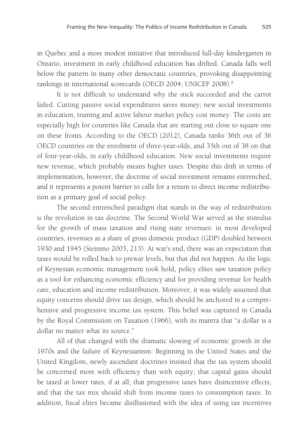in Quebec and a more modest initiative that introduced full-day kindergarten in Ontario, investment in early childhood education has drifted. Canada falls well below the pattern in many other democratic countries, provoking disappointing rankings in international scorecards (OECD 2004; UNICEF 2008).8

It is not difficult to understand why the stick succeeded and the carrot failed. Cutting passive social expenditures saves money; new social investments in education, training and active labour market policy cost money. The costs are especially high for countries like Canada that are starting out close to square one on these fronts. According to the OECD (2012), Canada ranks 36th out of 36 OECD countries on the enrolment of three-year-olds, and 35th out of 38 on that of four-year-olds, in early childhood education. New social investments require new revenue, which probably means higher taxes. Despite this drift in terms of implementation, however, the doctrine of social investment remains entrenched, and it represents a potent barrier to calls for a return to direct income redistribution as a primary goal of social policy.

The second entrenched paradigm that stands in the way of redistribution is the revolution in tax doctrine. The Second World War served as the stimulus for the growth of mass taxation and rising state revenues: in most developed countries, revenues as a share of gross domestic product (GDP) doubled between 1930 and 1945 (Steinmo 2003, 213). At war's end, there was an expectation that taxes would be rolled back to prewar levels, but that did not happen. As the logic of Keynesian economic management took hold, policy elites saw taxation policy as a tool for enhancing economic efficiency and for providing revenue for health care, education and income redistribution. Moreover, it was widely assumed that equity concerns should drive tax design, which should be anchored in a comprehensive and progressive income tax system. This belief was captured in Canada by the Royal Commission on Taxation (1966), with its mantra that "a dollar is a dollar no matter what its source."

All of that changed with the dramatic slowing of economic growth in the 1970s and the failure of Keynesianism. Beginning in the United States and the United Kingdom, newly ascendant doctrines insisted that the tax system should be concerned more with efficiency than with equity; that capital gains should be taxed at lower rates, if at all; that progressive taxes have disincentive effects; and that the tax mix should shift from income taxes to consumption taxes. In addition, fiscal elites became disillusioned with the idea of using tax incentives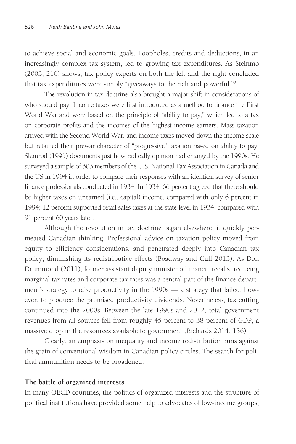to achieve social and economic goals. Loopholes, credits and deductions, in an increasingly complex tax system, led to growing tax expenditures. As Steinmo (2003, 216) shows, tax policy experts on both the left and the right concluded that tax expenditures were simply "giveaways to the rich and powerful."9

The revolution in tax doctrine also brought a major shift in considerations of who should pay. Income taxes were first introduced as a method to finance the First World War and were based on the principle of "ability to pay," which led to a tax on corporate profits and the incomes of the highest-income earners. Mass taxation arrived with the Second World War, and income taxes moved down the income scale but retained their prewar character of "progressive" taxation based on ability to pay. Slemrod (1995) documents just how radically opinion had changed by the 1990s. He surveyed a sample of 503 members of the U.S. National Tax Association in Canada and the US in 1994 in order to compare their responses with an identical survey of senior finance professionals conducted in 1934. In 1934, 66 percent agreed that there should be higher taxes on unearned (i.e., capital) income, compared with only 6 percent in 1994; 12 percent supported retail sales taxes at the state level in 1934, compared with 91 percent 60 years later.

Although the revolution in tax doctrine began elsewhere, it quickly permeated Canadian thinking. Professional advice on taxation policy moved from equity to efficiency considerations, and penetrated deeply into Canadian tax policy, diminishing its redistributive effects (Boadway and Cuff 2013). As Don Drummond (2011), former assistant deputy minister of finance, recalls, reducing marginal tax rates and corporate tax rates was a central part of the finance department's strategy to raise productivity in the 1990s — a strategy that failed, however, to produce the promised productivity dividends. Nevertheless, tax cutting continued into the 2000s. Between the late 1990s and 2012, total government revenues from all sources fell from roughly 45 percent to 38 percent of GDP, a massive drop in the resources available to government (Richards 2014, 136).

Clearly, an emphasis on inequality and income redistribution runs against the grain of conventional wisdom in Canadian policy circles. The search for political ammunition needs to be broadened.

# **The battle of organized interests**

In many OECD countries, the politics of organized interests and the structure of political institutions have provided some help to advocates of low-income groups,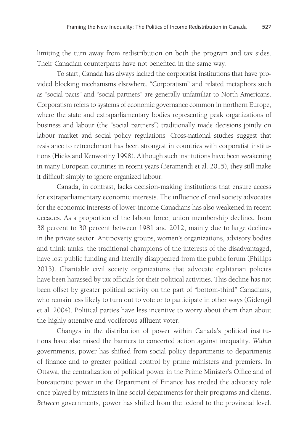limiting the turn away from redistribution on both the program and tax sides. Their Canadian counterparts have not benefited in the same way.

To start, Canada has always lacked the corporatist institutions that have provided blocking mechanisms elsewhere. "Corporatism" and related metaphors such as "social pacts" and "social partners" are generally unfamiliar to North Americans. Corporatism refers to systems of economic governance common in northern Europe, where the state and extraparliamentary bodies representing peak organizations of business and labour (the "social partners") traditionally made decisions jointly on labour market and social policy regulations. Cross-national studies suggest that resistance to retrenchment has been strongest in countries with corporatist institutions (Hicks and Kenworthy 1998). Although such institutions have been weakening in many European countries in recent years (Beramendi et al. 2015), they still make it difficult simply to ignore organized labour.

Canada, in contrast, lacks decision-making institutions that ensure access for extraparliamentary economic interests. The influence of civil society advocates for the economic interests of lower-income Canadians has also weakened in recent decades. As a proportion of the labour force, union membership declined from 38 percent to 30 percent between 1981 and 2012, mainly due to large declines in the private sector. Antipoverty groups, women's organizations, advisory bodies and think tanks, the traditional champions of the interests of the disadvantaged, have lost public funding and literally disappeared from the public forum (Phillips 2013). Charitable civil society organizations that advocate egalitarian policies have been harassed by tax officials for their political activities. This decline has not been offset by greater political activity on the part of "bottom-third" Canadians, who remain less likely to turn out to vote or to participate in other ways (Gidengil et al. 2004). Political parties have less incentive to worry about them than about the highly attentive and vociferous affluent voter.

Changes in the distribution of power within Canada's political institutions have also raised the barriers to concerted action against inequality. *Within* governments, power has shifted from social policy departments to departments of finance and to greater political control by prime ministers and premiers. In Ottawa, the centralization of political power in the Prime Minister's Office and of bureaucratic power in the Department of Finance has eroded the advocacy role once played by ministers in line social departments for their programs and clients. *Between* governments, power has shifted from the federal to the provincial level.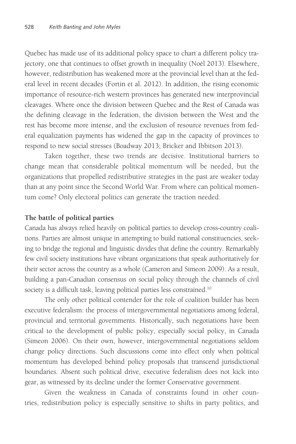Quebec has made use of its additional policy space to chart a different policy trajectory, one that continues to offset growth in inequality (Noël 2013). Elsewhere, however, redistribution has weakened more at the provincial level than at the federal level in recent decades (Fortin et al. 2012). In addition, the rising economic importance of resource-rich western provinces has generated new interprovincial cleavages. Where once the division between Quebec and the Rest of Canada was the defining cleavage in the federation, the division between the West and the rest has become more intense, and the exclusion of resource revenues from federal equalization payments has widened the gap in the capacity of provinces to respond to new social stresses (Boadway 2013; Bricker and Ibbitson 2013).

Taken together, these two trends are decisive. Institutional barriers to change mean that considerable political momentum will be needed, but the organizations that propelled redistributive strategies in the past are weaker today than at any point since the Second World War. From where can political momentum come? Only electoral politics can generate the traction needed.

# **The battle of political parties**

Canada has always relied heavily on political parties to develop cross-country coalitions. Parties are almost unique in attempting to build national constituencies, seeking to bridge the regional and linguistic divides that define the country. Remarkably few civil society institutions have vibrant organizations that speak authoritatively for their sector across the country as a whole (Cameron and Simeon 2009). As a result, building a pan-Canadian consensus on social policy through the channels of civil society is a difficult task, leaving political parties less constrained.<sup>10</sup>

The only other political contender for the role of coalition builder has been executive federalism: the process of intergovernmental negotiations among federal, provincial and territorial governments. Historically, such negotiations have been critical to the development of public policy, especially social policy, in Canada (Simeon 2006). On their own, however, intergovernmental negotiations seldom change policy directions. Such discussions come into effect only when political momentum has developed behind policy proposals that transcend jurisdictional boundaries. Absent such political drive, executive federalism does not kick into gear, as witnessed by its decline under the former Conservative government.

Given the weakness in Canada of constraints found in other countries, redistribution policy is especially sensitive to shifts in party politics, and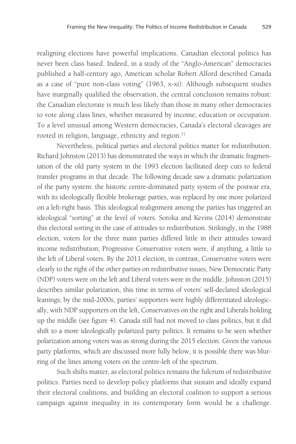realigning elections have powerful implications. Canadian electoral politics has never been class based. Indeed, in a study of the "Anglo-American" democracies published a half-century ago, American scholar Robert Alford described Canada as a case of "pure non-class voting" (1963, x-xi). Although subsequent studies have marginally qualified the observation, the central conclusion remains robust: the Canadian electorate is much less likely than those in many other democracies to vote along class lines, whether measured by income, education or occupation. To a level unusual among Western democracies, Canada's electoral cleavages are rooted in religion, language, ethnicity and region.<sup>11</sup>

Nevertheless, political parties and electoral politics matter for redistribution. Richard Johnston (2013) has demonstrated the ways in which the dramatic fragmentation of the old party system in the 1993 election facilitated deep cuts to federal transfer programs in that decade. The following decade saw a dramatic polarization of the party system: the historic centre-dominated party system of the postwar era, with its ideologically flexible brokerage parties, was replaced by one more polarized on a left-right basis. This ideological realignment among the parties has triggered an ideological "sorting" at the level of voters. Soroka and Kevins (2014) demonstrate this electoral sorting in the case of attitudes to redistribution. Strikingly, in the 1988 election, voters for the three main parties differed little in their attitudes toward income redistribution; Progressive Conservative voters were, if anything, a little to the left of Liberal voters. By the 2011 election, in contrast, Conservative voters were clearly to the right of the other parties on redistributive issues, New Democratic Party (NDP) voters were on the left and Liberal voters were in the middle. Johnston (2015) describes similar polarization, this time in terms of voters' self-declared ideological leanings; by the mid-2000s, parties' supporters were highly differentiated ideologically, with NDP supporters on the left, Conservatives on the right and Liberals holding up the middle (see figure 4). Canada still had not moved to class politics, but it did shift to a more ideologically polarized party politics. It remains to be seen whether polarization among voters was as strong during the 2015 election. Given the various party platforms, which are discussed more fully below, it is possible there was blurring of the lines among voters on the centre-left of the spectrum.

Such shifts matter, as electoral politics remains the fulcrum of redistributive politics. Parties need to develop policy platforms that sustain and ideally expand their electoral coalitions, and building an electoral coalition to support a serious campaign against inequality in its contemporary form would be a challenge.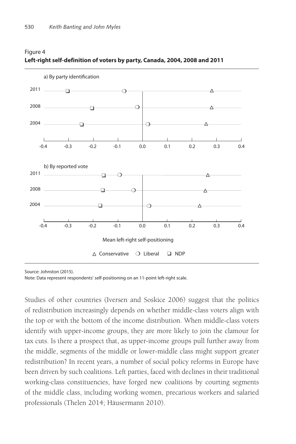

# Figure 4 **Left-right self-definition of voters by party, Canada, 2004, 2008 and 2011**

Source: Johnston (2015).

Note: Data represent respondents' self-positioning on an 11-point left-right scale.

Studies of other countries (Iversen and Soskice 2006) suggest that the politics of redistribution increasingly depends on whether middle-class voters align with the top or with the bottom of the income distribution. When middle-class voters identify with upper-income groups, they are more likely to join the clamour for tax cuts. Is there a prospect that, as upper-income groups pull further away from the middle, segments of the middle or lower-middle class might support greater redistribution? In recent years, a number of social policy reforms in Europe have been driven by such coalitions. Left parties, faced with declines in their traditional working-class constituencies, have forged new coalitions by courting segments of the middle class, including working women, precarious workers and salaried professionals (Thelen 2014; Häusermann 2010).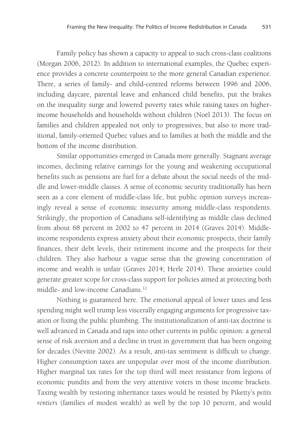Family policy has shown a capacity to appeal to such cross-class coalitions (Morgan 2006, 2012). In addition to international examples, the Quebec experience provides a concrete counterpoint to the more general Canadian experience. There, a series of family- and child-centred reforms between 1996 and 2006, including daycare, parental leave and enhanced child benefits, put the brakes on the inequality surge and lowered poverty rates while raising taxes on higherincome households and households without children (Noël 2013). The focus on families and children appealed not only to progressives, but also to more traditional, family-oriented Quebec values and to families at both the middle and the bottom of the income distribution.

Similar opportunities emerged in Canada more generally. Stagnant average incomes, declining relative earnings for the young and weakening occupational benefits such as pensions are fuel for a debate about the social needs of the middle and lower-middle classes. A sense of economic security traditionally has been seen as a core element of middle-class life, but public opinion surveys increasingly reveal a sense of economic insecurity among middle-class respondents. Strikingly, the proportion of Canadians self-identifying as middle class declined from about 68 percent in 2002 to 47 percent in 2014 (Graves 2014). Middleincome respondents express anxiety about their economic prospects, their family finances, their debt levels, their retirement income and the prospects for their children. They also harbour a vague sense that the growing concentration of income and wealth is unfair (Graves 2014; Herle 2014). These anxieties could generate greater scope for cross-class support for policies aimed at protecting both middle- and low-income Canadians.12

Nothing is guaranteed here. The emotional appeal of lower taxes and less spending might well trump less viscerally engaging arguments for progressive taxation or fixing the public plumbing. The institutionalization of anti-tax doctrine is well advanced in Canada and taps into other currents in public opinion: a general sense of risk aversion and a decline in trust in government that has been ongoing for decades (Nevitte 2002). As a result, anti-tax sentiment is difficult to change. Higher consumption taxes are unpopular over most of the income distribution. Higher marginal tax rates for the top third will meet resistance from legions of economic pundits and from the very attentive voters in those income brackets. Taxing wealth by restoring inheritance taxes would be resisted by Piketty's *petits rentiers* (families of modest wealth) as well by the top 10 percent, and would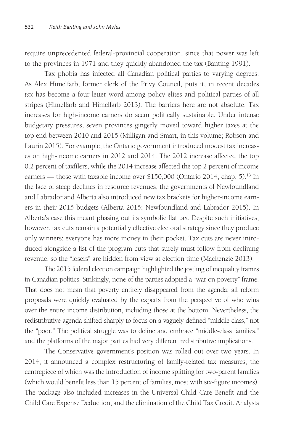require unprecedented federal-provincial cooperation, since that power was left to the provinces in 1971 and they quickly abandoned the tax (Banting 1991).

Tax phobia has infected all Canadian political parties to varying degrees. As Alex Himelfarb, former clerk of the Privy Council, puts it, in recent decades *tax* has become a four-letter word among policy elites and political parties of all stripes (Himelfarb and Himelfarb 2013). The barriers here are not absolute. Tax increases for high-income earners do seem politically sustainable. Under intense budgetary pressures, seven provinces gingerly moved toward higher taxes at the top end between 2010 and 2015 (Milligan and Smart, in this volume; Robson and Laurin 2015). For example, the Ontario government introduced modest tax increases on high-income earners in 2012 and 2014. The 2012 increase affected the top 0.2 percent of taxfilers, while the 2014 increase affected the top 2 percent of income earners — those with taxable income over \$150,000 (Ontario 2014, chap. 5).<sup>13</sup> In the face of steep declines in resource revenues, the governments of Newfoundland and Labrador and Alberta also introduced new tax brackets for higher-income earners in their 2015 budgets (Alberta 2015; Newfoundland and Labrador 2015). In Alberta's case this meant phasing out its symbolic flat tax. Despite such initiatives, however, tax cuts remain a potentially effective electoral strategy since they produce only winners: everyone has more money in their pocket. Tax cuts are never introduced alongside a list of the program cuts that surely must follow from declining revenue, so the "losers" are hidden from view at election time (Mackenzie 2013).

The 2015 federal election campaign highlighted the jostling of inequality frames in Canadian politics. Strikingly, none of the parties adopted a "war on poverty" frame. That does not mean that poverty entirely disappeared from the agenda; all reform proposals were quickly evaluated by the experts from the perspective of who wins over the entire income distribution, including those at the bottom. Nevertheless, the redistributive agenda shifted sharply to focus on a vaguely defined "middle class," not the "poor." The political struggle was to define and embrace "middle-class families," and the platforms of the major parties had very different redistributive implications.

The Conservative government's position was rolled out over two years. In 2014, it announced a complex restructuring of family-related tax measures, the centrepiece of which was the introduction of income splitting for two-parent families (which would benefit less than 15 percent of families, most with six-figure incomes). The package also included increases in the Universal Child Care Benefit and the Child Care Expense Deduction, and the elimination of the Child Tax Credit. Analysts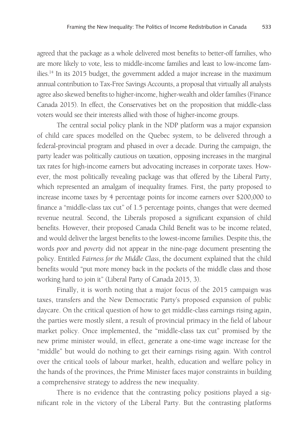agreed that the package as a whole delivered most benefits to better-off families, who are more likely to vote, less to middle-income families and least to low-income families.14 In its 2015 budget, the government added a major increase in the maximum annual contribution to Tax-Free Savings Accounts, a proposal that virtually all analysts agree also skewed benefits to higher-income, higher-wealth and older families (Finance Canada 2015). In effect, the Conservatives bet on the proposition that middle-class voters would see their interests allied with those of higher-income groups.

The central social policy plank in the NDP platform was a major expansion of child care spaces modelled on the Quebec system, to be delivered through a federal-provincial program and phased in over a decade. During the campaign, the party leader was politically cautious on taxation, opposing increases in the marginal tax rates for high-income earners but advocating increases in corporate taxes. However, the most politically revealing package was that offered by the Liberal Party, which represented an amalgam of inequality frames. First, the party proposed to increase income taxes by 4 percentage points for income earners over \$200,000 to finance a "middle-class tax cut" of 1.5 percentage points, changes that were deemed revenue neutral. Second, the Liberals proposed a significant expansion of child benefits. However, their proposed Canada Child Benefit was to be income related, and would deliver the largest benefits to the lowest-income families. Despite this, the words *poor* and *poverty* did not appear in the nine-page document presenting the policy. Entitled *Fairness for the Middle Class*, the document explained that the child benefits would "put more money back in the pockets of the middle class and those working hard to join it" (Liberal Party of Canada 2015, 3).

Finally, it is worth noting that a major focus of the 2015 campaign was taxes, transfers and the New Democratic Party's proposed expansion of public daycare. On the critical question of how to get middle-class earnings rising again, the parties were mostly silent, a result of provincial primacy in the field of labour market policy. Once implemented, the "middle-class tax cut" promised by the new prime minister would, in effect, generate a one-time wage increase for the "middle" but would do nothing to get their earnings rising again. With control over the critical tools of labour market, health, education and welfare policy in the hands of the provinces, the Prime Minister faces major constraints in building a comprehensive strategy to address the new inequality.

There is no evidence that the contrasting policy positions played a significant role in the victory of the Liberal Party. But the contrasting platforms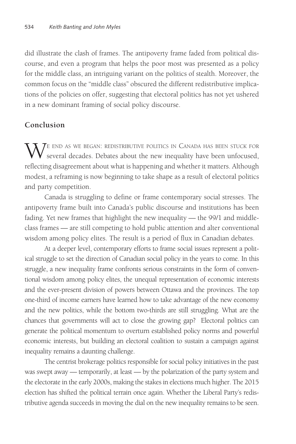did illustrate the clash of frames. The antipoverty frame faded from political discourse, and even a program that helps the poor most was presented as a policy for the middle class, an intriguing variant on the politics of stealth. Moreover, the common focus on the "middle class" obscured the different redistributive implications of the policies on offer, suggesting that electoral politics has not yet ushered in a new dominant framing of social policy discourse.

# **Conclusion**

WE END AS WE BEGAN: REDISTRIBUTIVE POLITICS IN CANADA HAS BEEN STUCK FOR several decades. Debates about the new inequality have been unfocused, reflecting disagreement about what is happening and whether it matters. Although modest, a reframing is now beginning to take shape as a result of electoral politics and party competition.

Canada is struggling to define or frame contemporary social stresses. The antipoverty frame built into Canada's public discourse and institutions has been fading. Yet new frames that highlight the new inequality — the 99/1 and middleclass frames — are still competing to hold public attention and alter conventional wisdom among policy elites. The result is a period of flux in Canadian debates.

At a deeper level, contemporary efforts to frame social issues represent a political struggle to set the direction of Canadian social policy in the years to come. In this struggle, a new inequality frame confronts serious constraints in the form of conventional wisdom among policy elites, the unequal representation of economic interests and the ever-present division of powers between Ottawa and the provinces. The top one-third of income earners have learned how to take advantage of the new economy and the new politics, while the bottom two-thirds are still struggling. What are the chances that governments will act to close the growing gap? Electoral politics can generate the political momentum to overturn established policy norms and powerful economic interests, but building an electoral coalition to sustain a campaign against inequality remains a daunting challenge.

The centrist brokerage politics responsible for social policy initiatives in the past was swept away — temporarily, at least — by the polarization of the party system and the electorate in the early 2000s, making the stakes in elections much higher. The 2015 election has shifted the political terrain once again. Whether the Liberal Party's redistributive agenda succeeds in moving the dial on the new inequality remains to be seen.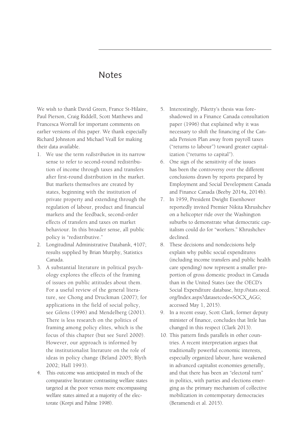# Notes

We wish to thank David Green, France St-Hilaire, Paul Pierson, Craig Riddell, Scott Matthews and Francesca Worrall for important comments on earlier versions of this paper. We thank especially Richard Johnston and Michael Veall for making their data available.

- 1. We use the term *redistribution* in its narrow sense to refer to second-round redistribution of income through taxes and transfers after first-round distribution in the market. But markets themselves are created by states, beginning with the institution of private property and extending through the regulation of labour, product and financial markets and the feedback, second-order effects of transfers and taxes on market behaviour. In this broader sense, all public policy is "redistributive."
- 2. Longitudinal Administrative Databank, 4107; results supplied by Brian Murphy, Statistics Canada.
- 3. A substantial literature in political psychology explores the effects of the framing of issues on public attitudes about them. For a useful review of the general literature, see Chong and Druckman (2007); for applications in the field of social policy, see Gilens (1996) and Mendelberg (2001). There is less research on the politics of framing among policy elites, which is the focus of this chapter (but see Surel 2000). However, our approach is informed by the institutionalist literature on the role of ideas in policy change (Béland 2005; Blyth 2002; Hall 1993).
- 4. This outcome was anticipated in much of the comparative literature contrasting welfare states targeted at the poor versus more encompassing welfare states aimed at a majority of the electorate (Korpi and Palme 1998).
- 5. Interestingly, Piketty's thesis was foreshadowed in a Finance Canada consultation paper (1996) that explained why it was necessary to shift the financing of the Canada Pension Plan away from payroll taxes ("returns to labour") toward greater capitalization ("returns to capital").
- 6. One sign of the sensitivity of the issues has been the controversy over the different conclusions drawn by reports prepared by Employment and Social Development Canada and Finance Canada (Beeby 2014a, 2014b).
- 7. In 1959, President Dwight Eisenhower reportedly invited Premier Nikita Khrushchev on a helicopter ride over the Washington suburbs to demonstrate what democratic capitalism could do for "workers." Khrushchev declined.
- 8. These decisions and nondecisions help explain why public social expenditures (including income transfers and public health care spending) now represent a smaller proportion of gross domestic product in Canada than in the United States (see the OECD's Social Expenditure database, http://stats.oecd. org/Index.aspx?datasetcode=SOCX\_AGG; accessed May 1, 2015).
- 9. In a recent essay, Scott Clark, former deputy minister of finance, concludes that little has changed in this respect (Clark 2013).
- 10. This pattern finds parallels in other countries. A recent interpretation argues that traditionally powerful economic interests, especially organized labour, have weakened in advanced capitalist economies generally, and that there has been an "electoral turn" in politics, with parties and elections emerging as the primary mechanism of collective mobilization in contemporary democracies (Beramendi et al. 2015).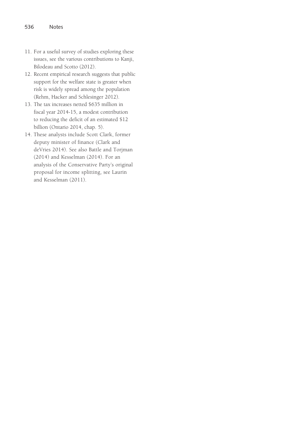- 11. For a useful survey of studies exploring these issues, see the various contributions to Kanji, Bilodeau and Scotto (2012).
- 12. Recent empirical research suggests that public support for the welfare state is greater when risk is widely spread among the population (Rehm, Hacker and Schlesinger 2012).
- 13. The tax increases netted \$635 million in fiscal year 2014-15, a modest contribution to reducing the deficit of an estimated \$12 billion (Ontario 2014, chap. 5).
- 14. These analysts include Scott Clark, former deputy minister of finance (Clark and deVries 2014). See also Battle and Torjman (2014) and Kesselman (2014). For an analysis of the Conservative Party's original proposal for income splitting, see Laurin and Kesselman (2011).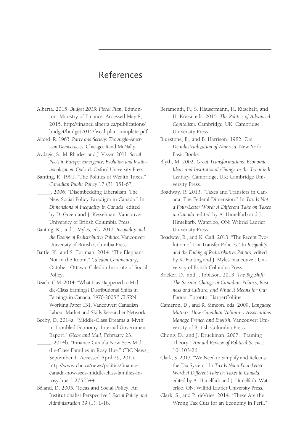# References

- Alberta. 2015. *Budget 2015: Fiscal Plan*. Edmonton: Ministry of Finance. Accessed May 8, 2015. http://finance.alberta.ca/publications/ budget/budget2015/fiscal-plan-complete.pdf
- Alford, R. 1963. *Party and Society: The Anglo-American Democracies.* Chicago: Rand McNally.
- Avdagic, S., M. Rhodes, and J. Visser. 2011. *Social Pacts in Europe: Emergence, Evolution and Institutionalization.* Oxford: Oxford University Press.
- Banting, K. 1991. "The Politics of Wealth Taxes." *Canadian Public Policy* 17 (3): 351-67.
- \_\_\_\_\_. 2006. "Disembedding Liberalism: The New Social Policy Paradigm in Canada." In *Dimensions of Inequality in Canada*, edited by D. Green and J. Kesselman. Vancouver: University of British Columbia Press.
- Banting, K., and J. Myles, eds. 2013. *Inequality and the Fading of Redistributive Politics.* Vancouver: University of British Columbia Press.
- Battle, K., and S. Torjman. 2014. "The Elephant Not in the Room." *Caledon Commentary*, October. Ottawa: Caledon Institute of Social Policy.
- Beach, C.M. 2014. "What Has Happened to Middle-Class Earnings? Distributional Shifts in Earnings in Canada, 1970-2005." CLSRN Working Paper 131. Vancouver: Canadian Labour Market and Skills Researcher Network.
- Beeby, D. 2014a. "Middle-Class Dreams a 'Myth' in Troubled Economy: Internal Government Report." *Globe and Mail*, February 23.
- \_\_\_\_\_. 2014b. "Finance Canada Now Sees Middle-Class Families in Rosy Hue." CBC News, September 1. Accessed April 29, 2015. http://www.cbc.ca/news/politics/financecanada-now-sees-middle-class-families-inrosy-hue-1.2752344.
- Béland, D. 2005. "Ideas and Social Policy: An Institutionalist Perspective." *Social Policy and Administration* 39 (1): 1-18.
- Beramendi, P., S. Häusermann, H. Kitschelt, and H. Kriesi, eds. 2015. *The Politics of Advanced Capitalism*. Cambridge, UK: Cambridge University Press.
- Bluestone, B., and B. Harrison. 1982. *The Deindustrialization of America.* New York: Basic Books.
- Blyth, M. 2002. *Great Transformations: Economic Ideas and Institutional Change in the Twentieth Century.* Cambridge, UK: Cambridge University Press.
- Boadway, R. 2013. "Taxes and Transfers in Canada: The Federal Dimension." In *Tax Is Not a Four-Letter Word: A Different Take on Taxes in Canada*, edited by A. Himelfarb and J. Himelfarb. Waterloo, ON: Wilfrid Laurier University Press.
- Boadway, R., and K. Cuff. 2013. "The Recent Evolution of Tax-Transfer Policies." In *Inequality and the Fading of Redistributive Politics*, edited by K. Banting and J. Myles. Vancouver: University of British Columbia Press.
- Bricker, D., and J. Ibbitson. 2013. *The Big Shift: The Seismic Change in Canadian Politics, Business and Culture, and What It Means for Our Future*. Toronto: HarperCollins.
- Cameron, D., and R. Simeon, eds. 2009. *Language Matters: How Canadian Voluntary Associations Manage French and English.* Vancouver: University of British Columbia Press.
- Chong, D., and J. Druckman. 2007. "Framing Theory." *Annual Review of Political Science*  10: 103-26.
- Clark, S. 2013. "We Need to Simplify and Refocus the Tax System." In *Tax Is Not a Four-Letter Word: A Different Take on Taxes in Canada*, edited by A. Himelfarb and J. Himelfarb. Waterloo, ON: Wilfrid Laurier University Press.
- Clark, S., and P. deVries. 2014. "These Are the Wrong Tax Cuts for an Economy in Peril."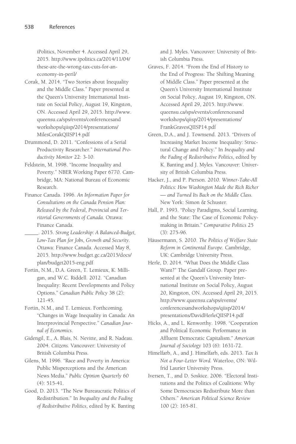iPolitics, November 4. Accessed April 29, 2015. http://www.ipolitics.ca/2014/11/04/ these-are-the-wrong-tax-cuts-for-aneconomy-in-peril/

Corak, M. 2014. "Two Stories about Inequality and the Middle Class." Paper presented at the Queen's University International Institute on Social Policy, August 19, Kingston, ON. Accessed April 29, 2015. http://www. queensu.ca/sps/events/conferencesand workshops/qiisp/2014/presentations/ MilesCorakQIISP14.pdf

Drummond, D. 2011. "Confessions of a Serial Productivity Researcher." *International Productivity Monitor* 22: 3-10.

- Feldstein, M. 1998. "Income Inequality and Poverty." NBER Working Paper 6770. Cambridge, MA: National Bureau of Economic Research.
- Finance Canada. 1996. *An Information Paper for Consultations on the Canada Pension Plan: Released by the Federal, Provincial and Territorial Governments of Canada.* Ottawa: Finance Canada.
- \_\_\_\_\_. 2015. *Strong Leadership: A Balanced-Budget, Low-Tax Plan for Jobs, Growth and Security.* Ottawa: Finance Canada. Accessed May 8, 2015. http://www.budget.gc.ca/2015/docs/ plan/budget2015-eng.pdf
- Fortin, N.M., D.A. Green, T. Lemieux, K. Milligan, and W.C. Riddell. 2012. "Canadian Inequality: Recent Developments and Policy Options." *Canadian Public Policy* 38 (2): 121-45.
- Fortin, N.M., and T. Lemieux. Forthcoming. "Changes in Wage Inequality in Canada: An Interprovincial Perspective." *Canadian Journal of Economics*.
- Gidengil, E., A. Blais, N. Nevitte, and R. Nadeau. 2004. *Citizens.* Vancouver: University of British Columbia Press.
- Gilens, M. 1996. "Race and Poverty in America: Public Misperceptions and the American News Media." *Public Opinion Quarterly* 60 (4): 515-41.
- Good, D. 2013. "The New Bureaucratic Politics of Redistribution." In *Inequality and the Fading of Redistributive Politics*, edited by K. Banting

and J. Myles. Vancouver: University of British Columbia Press.

- Graves, F. 2014. "From the End of History to the End of Progress: The Shifting Meaning of Middle Class." Paper presented at the Queen's University International Institute on Social Policy, August 19, Kingston, ON. Accessed April 29, 2015. http://www. queensu.ca/sps/events/conferencesand workshops/qiisp/2014/presentations/ FrankGravesQIISP14.pdf
- Green, D.A., and J. Townsend. 2013. "Drivers of Increasing Market Income Inequality: Structural Change and Policy." In *Inequality and the Fading of Redistributive Politics*, edited by K. Banting and J. Myles. Vancouver: University of British Columbia Press.
- Hacker, J., and P. Pierson. 2010. *Winner-Take-All Politics: How Washington Made the Rich Richer — and Turned Its Back on the Middle Class.* New York: Simon & Schuster.
- Hall, P. 1993. "Policy Paradigms, Social Learning, and the State: The Case of Economic Policymaking in Britain." *Comparative Politics* 25 (3): 275-96.
- Häusermann, S. 2010. *The Politics of Welfare State Reform in Continental Europe.* Cambridge, UK: Cambridge University Press.
- Herle, D. 2014. "What Does the Middle Class Want?" The Gandalf Group. Paper presented at the Queen's University International Institute on Social Policy, August 20, Kingston, ON. Accessed April 29, 2015. http://www.queensu.ca/sps/events/ conferencesandworkshops/qiisp/2014/ presentations/DavidHerleQIISP14.pdf
- Hicks, A., and L. Kenworthy. 1998. "Cooperation and Political Economic Performance in Affluent Democratic Capitalism." *American Journal of Sociology* 103 (6): 1631-72.
- Himelfarb, A., and J. Himelfarb, eds. 2013. *Tax Is Not a Four-Letter Word.* Waterloo, ON: Wilfrid Laurier University Press.
- Iversen, T., and D. Soskice. 2006. "Electoral Institutions and the Politics of Coalitions: Why Some Democracies Redistribute More than Others." *American Political Science Review* 100 (2): 165-81.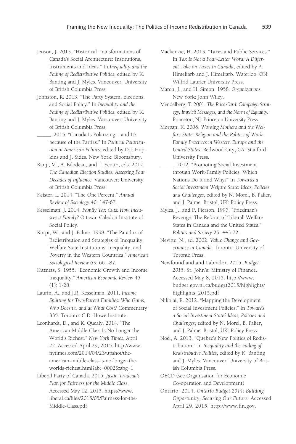- Jenson, J. 2013. "Historical Transformations of Canada's Social Architecture: Institutions, Instruments and Ideas." In *Inequality and the Fading of Redistributive Politics*, edited by K. Banting and J. Myles. Vancouver: University of British Columbia Press.
- Johnston, R. 2013. "The Party System, Elections, and Social Policy." In *Inequality and the Fading of Redistributive Politics*, edited by K. Banting and J. Myles. Vancouver: University of British Columbia Press.
- \_\_\_\_\_. 2015. "Canada Is Polarizing and It's because of the Parties." In *Political Polarization in American Politics*, edited by D.J. Hopkins and J. Sides. New York: Bloomsbury.
- Kanji, M., A. Bilodeau, and T. Scotto, eds. 2012. *The Canadian Election Studies: Assessing Four Decades of Influence.* Vancouver: University of British Columbia Press.
- Keister, L. 2014. "The One Percent." *Annual Review of Sociology* 40: 147-67.
- Kesselman, J. 2014. *Family Tax Cuts: How Inclusive a Family?* Ottawa: Caledon Institute of Social Policy.
- Korpi, W., and J. Palme. 1998. "The Paradox of Redistribution and Strategies of Inequality: Welfare State Institutions, Inequality, and Poverty in the Western Countries." *American Sociological Review* 63: 661-87.
- Kuznets, S. 1955. "Economic Growth and Income Inequality." *American Economic Review* 45 (1): 1-28.
- Laurin, A., and J.R. Kesselman. 2011. *Income Splitting for Two-Parent Families: Who Gains, Who Doesn't, and at What Cost?* Commentary 335. Toronto: C.D. Howe Institute.
- Leonhardt, D., and K. Quealy. 2014. "The American Middle Class Is No Longer the World's Richest." *New York Times*, April 22. Accessed April 29, 2015. http://www. nytimes.com/2014/04/23/upshot/theamerican-middle-class-is-no-longer-theworlds-richest.html?abt=0002&abg=1
- Liberal Party of Canada. 2015. *Justin Trudeau's Plan for Fairness for the Middle Class*. Accessed May 12, 2015. https://www. liberal.ca/files/2015/05/Fairness-for-the-Middle-Class.pdf

Mackenzie, H. 2013. "Taxes and Public Services." In *Tax Is Not a Four-Letter Word: A Different Take on Taxes in Canada*, edited by A. Himelfarb and J. Himelfarb. Waterloo, ON: Wilfrid Laurier University Press.

- March, J., and H. Simon. 1958. *Organizations*. New York: John Wiley.
- Mendelberg, T. 2001. *The Race Card: Campaign Strategy, Implicit Messages, and the Norm of Equality.* Princeton, NJ: Princeton University Press.
- Morgan, K. 2006. *Working Mothers and the Welfare State: Religion and the Politics of Work-Family Practices in Western Europe and the United States*. Redwood City, CA: Stanford University Press.
- \_\_\_\_\_. 2012. "Promoting Social Investment through Work-Family Policies: Which Nations Do It and Why?" In *Towards a Social Investment Welfare State: Ideas, Policies and Challenges*, edited by N. Morel, B. Palier, and J. Palme. Bristol, UK: Policy Press.
- Myles, J., and P. Pierson. 1997. "Friedman's Revenge: The Reform of 'Liberal' Welfare States in Canada and the United States." *Politics and Society* 25: 443-72.
- Nevitte, N., ed. 2002. *Value Change and Governance in Canada.* Toronto: University of Toronto Press.
- Newfoundland and Labrador. 2015. *Budget 2015*. St. John's: Ministry of Finance. Accessed May 8, 2015. http://www. budget.gov.nl.ca/budget2015/highlights/ highlights\_2015.pdf
- Nikolai, R. 2012. "Mapping the Development of Social Investment Policies." In *Towards a Social Investment State? Ideas, Policies and Challenges*, edited by N. Morel, B. Palier, and J. Palme. Bristol, UK: Policy Press.
- Noël, A. 2013. "Quebec's New Politics of Redistribution." In *Inequality and the Fading of Redistributive Politics*, edited by K. Banting and J. Myles. Vancouver: University of British Columbia Press.
- OECD (see Organisation for Economic Co-operation and Development)
- Ontario. 2014. *Ontario Budget 2014: Building Opportunity, Securing Our Future.* Accessed April 29, 2015. http://www.fin.gov.